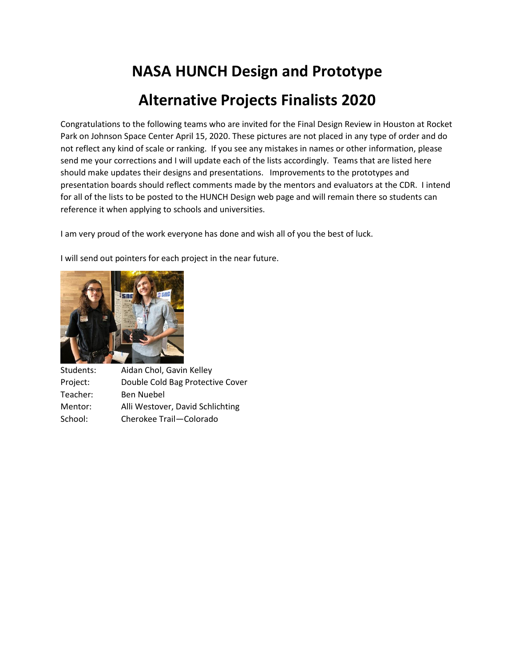## **NASA HUNCH Design and Prototype Alternative Projects Finalists 2020**

Congratulations to the following teams who are invited for the Final Design Review in Houston at Rocket Park on Johnson Space Center April 15, 2020. These pictures are not placed in any type of order and do not reflect any kind of scale or ranking. If you see any mistakes in names or other information, please send me your corrections and I will update each of the lists accordingly. Teams that are listed here should make updates their designs and presentations. Improvements to the prototypes and presentation boards should reflect comments made by the mentors and evaluators at the CDR. I intend for all of the lists to be posted to the HUNCH Design web page and will remain there so students can reference it when applying to schools and universities.

I am very proud of the work everyone has done and wish all of you the best of luck.

I will send out pointers for each project in the near future.



Students: Aidan Chol, Gavin Kelley Project: Double Cold Bag Protective Cover Teacher: Ben Nuebel Mentor: Alli Westover, David Schlichting School: Cherokee Trail—Colorado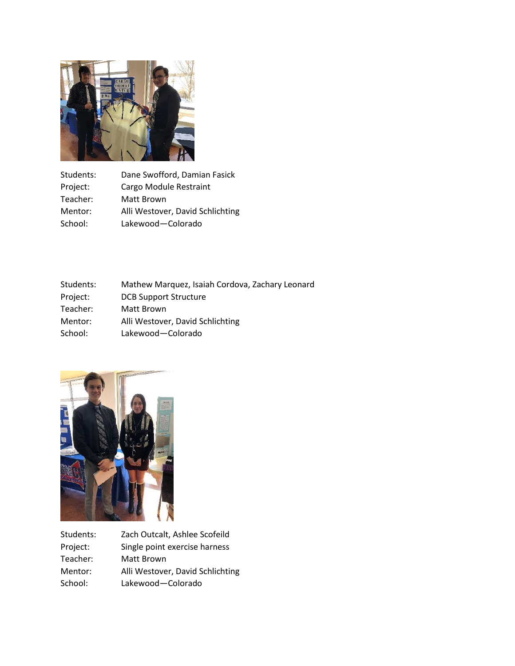

| Students: | Dane Swofford, Damian Fasick     |
|-----------|----------------------------------|
| Project:  | Cargo Module Restraint           |
| Teacher:  | Matt Brown                       |
| Mentor:   | Alli Westover, David Schlichting |
| School:   | Lakewood-Colorado                |

| Students: | Mathew Marquez, Isaiah Cordova, Zachary Leonard |
|-----------|-------------------------------------------------|
| Project:  | <b>DCB Support Structure</b>                    |
| Teacher:  | Matt Brown                                      |
| Mentor:   | Alli Westover, David Schlichting                |
| School:   | Lakewood-Colorado                               |



| Zach Outcalt, Ashlee Scofeild    |
|----------------------------------|
| Single point exercise harness    |
| Matt Brown                       |
| Alli Westover, David Schlichting |
| Lakewood-Colorado                |
|                                  |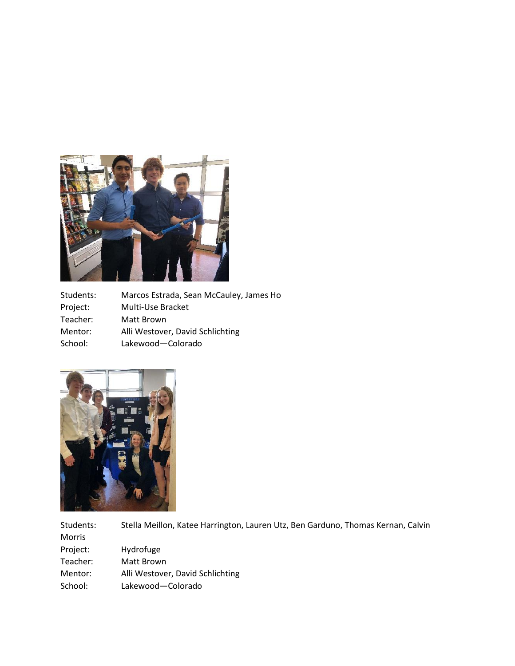

Students: Marcos Estrada, Sean McCauley, James Ho Project: Multi-Use Bracket Teacher: Matt Brown Mentor: Alli Westover, David Schlichting School: Lakewood—Colorado



Students: Stella Meillon, Katee Harrington, Lauren Utz, Ben Garduno, Thomas Kernan, Calvin Morris Project: Hydrofuge Teacher: Matt Brown Mentor: Alli Westover, David Schlichting School: Lakewood—Colorado